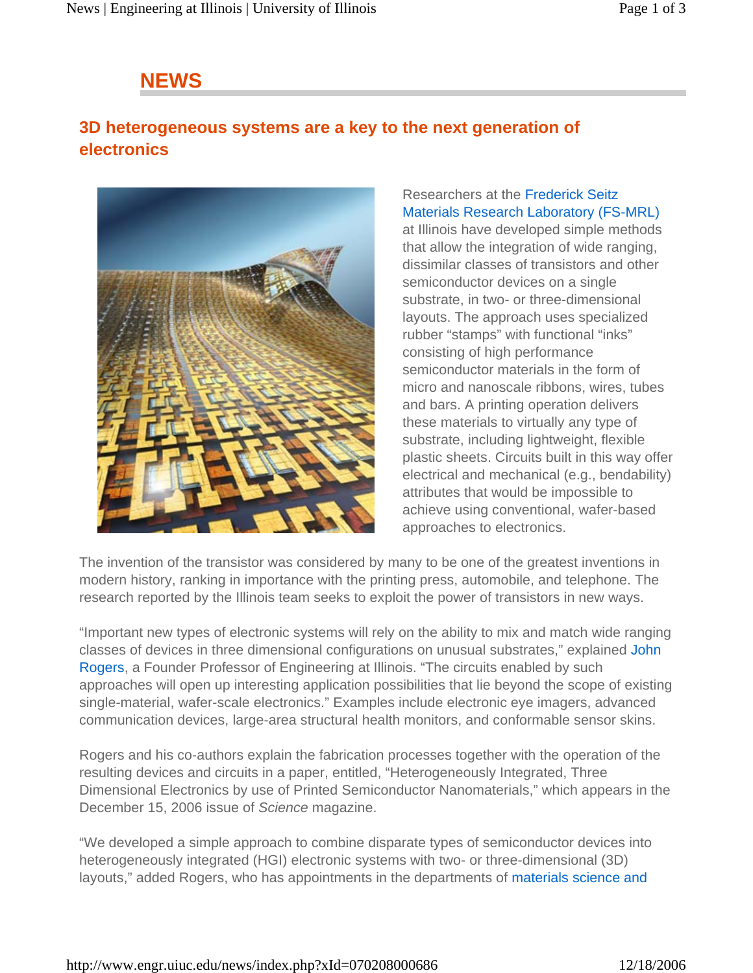## **NEWS**

## **3D heterogeneous systems are a key to the next generation of electronics**



Researchers at the Frederick Seitz Materials Research Laboratory (FS-MRL) at Illinois have developed simple methods that allow the integration of wide ranging, dissimilar classes of transistors and other semiconductor devices on a single substrate, in two- or three-dimensional layouts. The approach uses specialized rubber "stamps" with functional "inks" consisting of high performance semiconductor materials in the form of micro and nanoscale ribbons, wires, tubes and bars. A printing operation delivers these materials to virtually any type of substrate, including lightweight, flexible plastic sheets. Circuits built in this way offer electrical and mechanical (e.g., bendability) attributes that would be impossible to achieve using conventional, wafer-based approaches to electronics.

The invention of the transistor was considered by many to be one of the greatest inventions in modern history, ranking in importance with the printing press, automobile, and telephone. The research reported by the Illinois team seeks to exploit the power of transistors in new ways.

"Important new types of electronic systems will rely on the ability to mix and match wide ranging classes of devices in three dimensional configurations on unusual substrates," explained John Rogers, a Founder Professor of Engineering at Illinois. "The circuits enabled by such approaches will open up interesting application possibilities that lie beyond the scope of existing single-material, wafer-scale electronics." Examples include electronic eye imagers, advanced communication devices, large-area structural health monitors, and conformable sensor skins.

Rogers and his co-authors explain the fabrication processes together with the operation of the resulting devices and circuits in a paper, entitled, "Heterogeneously Integrated, Three Dimensional Electronics by use of Printed Semiconductor Nanomaterials," which appears in the December 15, 2006 issue of *Science* magazine.

"We developed a simple approach to combine disparate types of semiconductor devices into heterogeneously integrated (HGI) electronic systems with two- or three-dimensional (3D) layouts," added Rogers, who has appointments in the departments of materials science and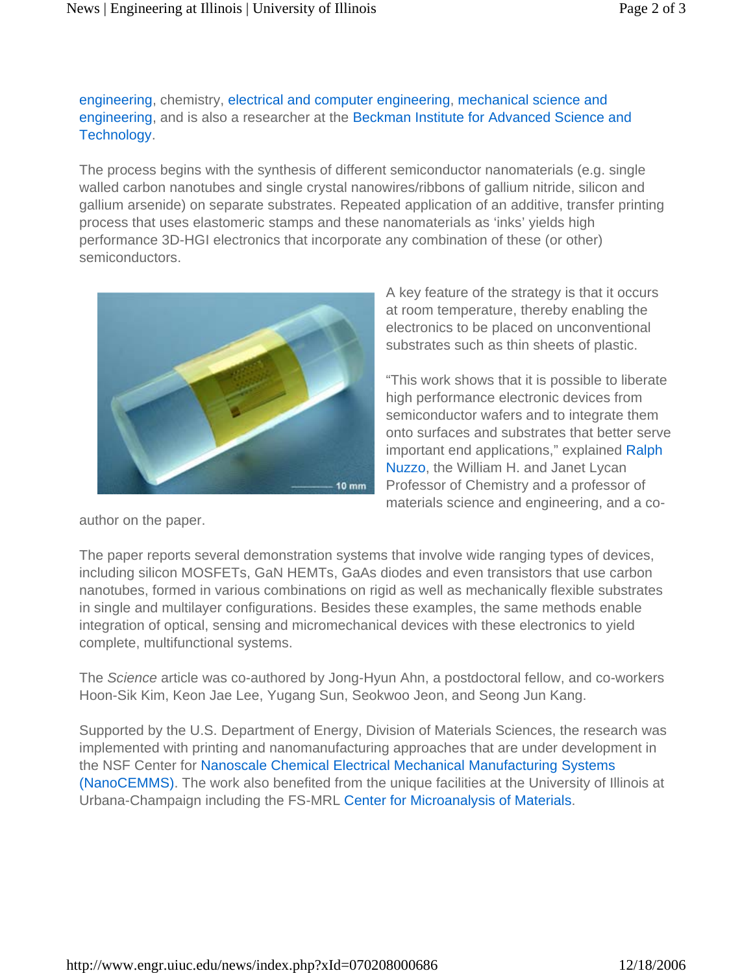engineering, chemistry, electrical and computer engineering, mechanical science and engineering, and is also a researcher at the Beckman Institute for Advanced Science and Technology.

The process begins with the synthesis of different semiconductor nanomaterials (e.g. single walled carbon nanotubes and single crystal nanowires/ribbons of gallium nitride, silicon and gallium arsenide) on separate substrates. Repeated application of an additive, transfer printing process that uses elastomeric stamps and these nanomaterials as 'inks' yields high performance 3D-HGI electronics that incorporate any combination of these (or other) semiconductors.



A key feature of the strategy is that it occurs at room temperature, thereby enabling the electronics to be placed on unconventional substrates such as thin sheets of plastic.

"This work shows that it is possible to liberate high performance electronic devices from semiconductor wafers and to integrate them onto surfaces and substrates that better serve important end applications," explained Ralph Nuzzo, the William H. and Janet Lycan Professor of Chemistry and a professor of materials science and engineering, and a co-

author on the paper.

The paper reports several demonstration systems that involve wide ranging types of devices, including silicon MOSFETs, GaN HEMTs, GaAs diodes and even transistors that use carbon nanotubes, formed in various combinations on rigid as well as mechanically flexible substrates in single and multilayer configurations. Besides these examples, the same methods enable integration of optical, sensing and micromechanical devices with these electronics to yield complete, multifunctional systems.

The *Science* article was co-authored by Jong-Hyun Ahn, a postdoctoral fellow, and co-workers Hoon-Sik Kim, Keon Jae Lee, Yugang Sun, Seokwoo Jeon, and Seong Jun Kang.

Supported by the U.S. Department of Energy, Division of Materials Sciences, the research was implemented with printing and nanomanufacturing approaches that are under development in the NSF Center for Nanoscale Chemical Electrical Mechanical Manufacturing Systems (NanoCEMMS). The work also benefited from the unique facilities at the University of Illinois at Urbana-Champaign including the FS-MRL Center for Microanalysis of Materials.